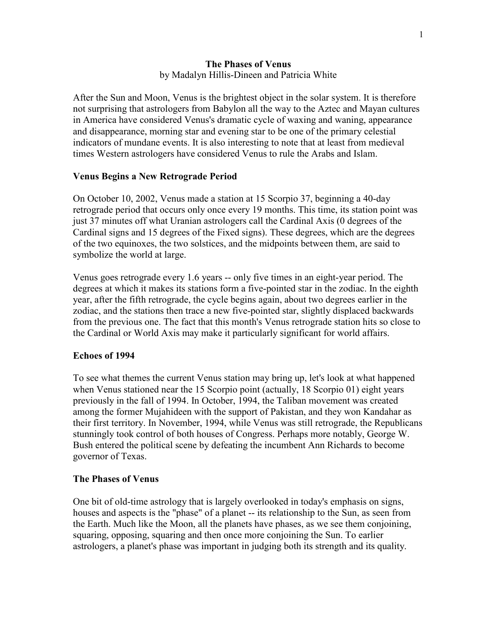### The Phases of Venus by Madalyn Hillis-Dineen and Patricia White

After the Sun and Moon, Venus is the brightest object in the solar system. It is therefore not surprising that astrologers from Babylon all the way to the Aztec and Mayan cultures in America have considered Venus's dramatic cycle of waxing and waning, appearance and disappearance, morning star and evening star to be one of the primary celestial indicators of mundane events. It is also interesting to note that at least from medieval times Western astrologers have considered Venus to rule the Arabs and Islam.

# Venus Begins a New Retrograde Period

On October 10, 2002, Venus made a station at 15 Scorpio 37, beginning a 40-day retrograde period that occurs only once every 19 months. This time, its station point was just 37 minutes off what Uranian astrologers call the Cardinal Axis (0 degrees of the Cardinal signs and 15 degrees of the Fixed signs). These degrees, which are the degrees of the two equinoxes, the two solstices, and the midpoints between them, are said to symbolize the world at large.

Venus goes retrograde every 1.6 years -- only five times in an eight-year period. The degrees at which it makes its stations form a five-pointed star in the zodiac. In the eighth year, after the fifth retrograde, the cycle begins again, about two degrees earlier in the zodiac, and the stations then trace a new five-pointed star, slightly displaced backwards from the previous one. The fact that this month's Venus retrograde station hits so close to the Cardinal or World Axis may make it particularly significant for world affairs.

#### Echoes of 1994

To see what themes the current Venus station may bring up, let's look at what happened when Venus stationed near the 15 Scorpio point (actually, 18 Scorpio 01) eight years previously in the fall of 1994. In October, 1994, the Taliban movement was created among the former Mujahideen with the support of Pakistan, and they won Kandahar as their first territory. In November, 1994, while Venus was still retrograde, the Republicans stunningly took control of both houses of Congress. Perhaps more notably, George W. Bush entered the political scene by defeating the incumbent Ann Richards to become governor of Texas.

# The Phases of Venus

One bit of old-time astrology that is largely overlooked in today's emphasis on signs, houses and aspects is the "phase" of a planet -- its relationship to the Sun, as seen from the Earth. Much like the Moon, all the planets have phases, as we see them conjoining, squaring, opposing, squaring and then once more conjoining the Sun. To earlier astrologers, a planet's phase was important in judging both its strength and its quality.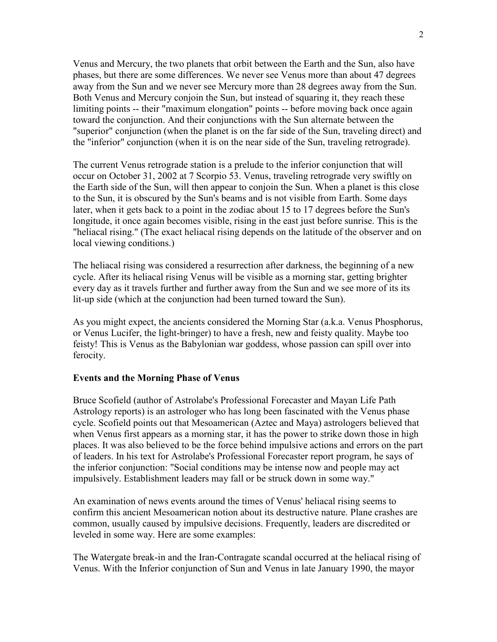Venus and Mercury, the two planets that orbit between the Earth and the Sun, also have phases, but there are some differences. We never see Venus more than about 47 degrees away from the Sun and we never see Mercury more than 28 degrees away from the Sun. Both Venus and Mercury conjoin the Sun, but instead of squaring it, they reach these limiting points -- their "maximum elongation" points -- before moving back once again toward the conjunction. And their conjunctions with the Sun alternate between the "superior" conjunction (when the planet is on the far side of the Sun, traveling direct) and the "inferior" conjunction (when it is on the near side of the Sun, traveling retrograde).

The current Venus retrograde station is a prelude to the inferior conjunction that will occur on October 31, 2002 at 7 Scorpio 53. Venus, traveling retrograde very swiftly on the Earth side of the Sun, will then appear to conjoin the Sun. When a planet is this close to the Sun, it is obscured by the Sun's beams and is not visible from Earth. Some days later, when it gets back to a point in the zodiac about 15 to 17 degrees before the Sun's longitude, it once again becomes visible, rising in the east just before sunrise. This is the "heliacal rising." (The exact heliacal rising depends on the latitude of the observer and on local viewing conditions.)

The heliacal rising was considered a resurrection after darkness, the beginning of a new cycle. After its heliacal rising Venus will be visible as a morning star, getting brighter every day as it travels further and further away from the Sun and we see more of its its lit-up side (which at the conjunction had been turned toward the Sun).

As you might expect, the ancients considered the Morning Star (a.k.a. Venus Phosphorus, or Venus Lucifer, the light-bringer) to have a fresh, new and feisty quality. Maybe too feisty! This is Venus as the Babylonian war goddess, whose passion can spill over into ferocity.

#### Events and the Morning Phase of Venus

Bruce Scofield (author of Astrolabe's Professional Forecaster and Mayan Life Path Astrology reports) is an astrologer who has long been fascinated with the Venus phase cycle. Scofield points out that Mesoamerican (Aztec and Maya) astrologers believed that when Venus first appears as a morning star, it has the power to strike down those in high places. It was also believed to be the force behind impulsive actions and errors on the part of leaders. In his text for Astrolabe's Professional Forecaster report program, he says of the inferior conjunction: "Social conditions may be intense now and people may act impulsively. Establishment leaders may fall or be struck down in some way."

An examination of news events around the times of Venus' heliacal rising seems to confirm this ancient Mesoamerican notion about its destructive nature. Plane crashes are common, usually caused by impulsive decisions. Frequently, leaders are discredited or leveled in some way. Here are some examples:

The Watergate break-in and the Iran-Contragate scandal occurred at the heliacal rising of Venus. With the Inferior conjunction of Sun and Venus in late January 1990, the mayor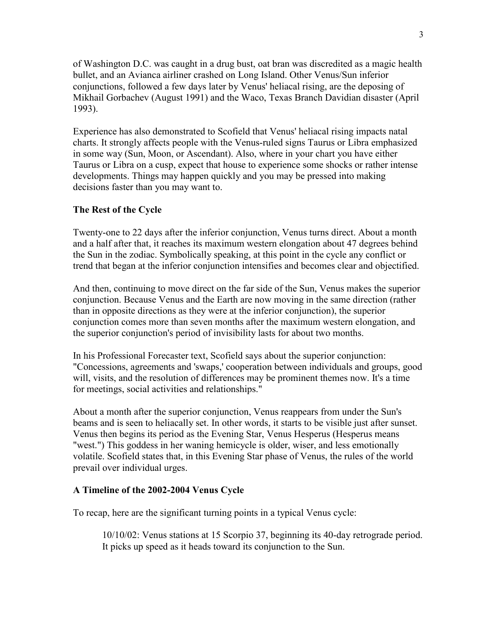of Washington D.C. was caught in a drug bust, oat bran was discredited as a magic health bullet, and an Avianca airliner crashed on Long Island. Other Venus/Sun inferior conjunctions, followed a few days later by Venus' heliacal rising, are the deposing of Mikhail Gorbachev (August 1991) and the Waco, Texas Branch Davidian disaster (April 1993).

Experience has also demonstrated to Scofield that Venus' heliacal rising impacts natal charts. It strongly affects people with the Venus-ruled signs Taurus or Libra emphasized in some way (Sun, Moon, or Ascendant). Also, where in your chart you have either Taurus or Libra on a cusp, expect that house to experience some shocks or rather intense developments. Things may happen quickly and you may be pressed into making decisions faster than you may want to.

### The Rest of the Cycle

Twenty-one to 22 days after the inferior conjunction, Venus turns direct. About a month and a half after that, it reaches its maximum western elongation about 47 degrees behind the Sun in the zodiac. Symbolically speaking, at this point in the cycle any conflict or trend that began at the inferior conjunction intensifies and becomes clear and objectified.

And then, continuing to move direct on the far side of the Sun, Venus makes the superior conjunction. Because Venus and the Earth are now moving in the same direction (rather than in opposite directions as they were at the inferior conjunction), the superior conjunction comes more than seven months after the maximum western elongation, and the superior conjunction's period of invisibility lasts for about two months.

In his Professional Forecaster text, Scofield says about the superior conjunction: "Concessions, agreements and 'swaps,' cooperation between individuals and groups, good will, visits, and the resolution of differences may be prominent themes now. It's a time for meetings, social activities and relationships."

About a month after the superior conjunction, Venus reappears from under the Sun's beams and is seen to heliacally set. In other words, it starts to be visible just after sunset. Venus then begins its period as the Evening Star, Venus Hesperus (Hesperus means "west.") This goddess in her waning hemicycle is older, wiser, and less emotionally volatile. Scofield states that, in this Evening Star phase of Venus, the rules of the world prevail over individual urges.

#### A Timeline of the 2002-2004 Venus Cycle

To recap, here are the significant turning points in a typical Venus cycle:

10/10/02: Venus stations at 15 Scorpio 37, beginning its 40-day retrograde period. It picks up speed as it heads toward its conjunction to the Sun.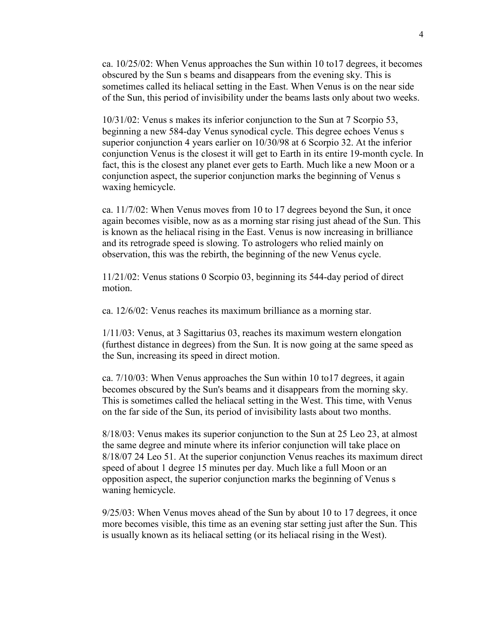ca. 10/25/02: When Venus approaches the Sun within 10 to17 degrees, it becomes obscured by the Sun s beams and disappears from the evening sky. This is sometimes called its heliacal setting in the East. When Venus is on the near side of the Sun, this period of invisibility under the beams lasts only about two weeks.

10/31/02: Venus s makes its inferior conjunction to the Sun at 7 Scorpio 53, beginning a new 584-day Venus synodical cycle. This degree echoes Venus s superior conjunction 4 years earlier on 10/30/98 at 6 Scorpio 32. At the inferior conjunction Venus is the closest it will get to Earth in its entire 19-month cycle. In fact, this is the closest any planet ever gets to Earth. Much like a new Moon or a conjunction aspect, the superior conjunction marks the beginning of Venus s waxing hemicycle.

ca. 11/7/02: When Venus moves from 10 to 17 degrees beyond the Sun, it once again becomes visible, now as as a morning star rising just ahead of the Sun. This is known as the heliacal rising in the East. Venus is now increasing in brilliance and its retrograde speed is slowing. To astrologers who relied mainly on observation, this was the rebirth, the beginning of the new Venus cycle.

11/21/02: Venus stations 0 Scorpio 03, beginning its 544-day period of direct motion.

ca. 12/6/02: Venus reaches its maximum brilliance as a morning star.

1/11/03: Venus, at 3 Sagittarius 03, reaches its maximum western elongation (furthest distance in degrees) from the Sun. It is now going at the same speed as the Sun, increasing its speed in direct motion.

ca. 7/10/03: When Venus approaches the Sun within 10 to17 degrees, it again becomes obscured by the Sun's beams and it disappears from the morning sky. This is sometimes called the heliacal setting in the West. This time, with Venus on the far side of the Sun, its period of invisibility lasts about two months.

8/18/03: Venus makes its superior conjunction to the Sun at 25 Leo 23, at almost the same degree and minute where its inferior conjunction will take place on 8/18/07 24 Leo 51. At the superior conjunction Venus reaches its maximum direct speed of about 1 degree 15 minutes per day. Much like a full Moon or an opposition aspect, the superior conjunction marks the beginning of Venus s waning hemicycle.

9/25/03: When Venus moves ahead of the Sun by about 10 to 17 degrees, it once more becomes visible, this time as an evening star setting just after the Sun. This is usually known as its heliacal setting (or its heliacal rising in the West).